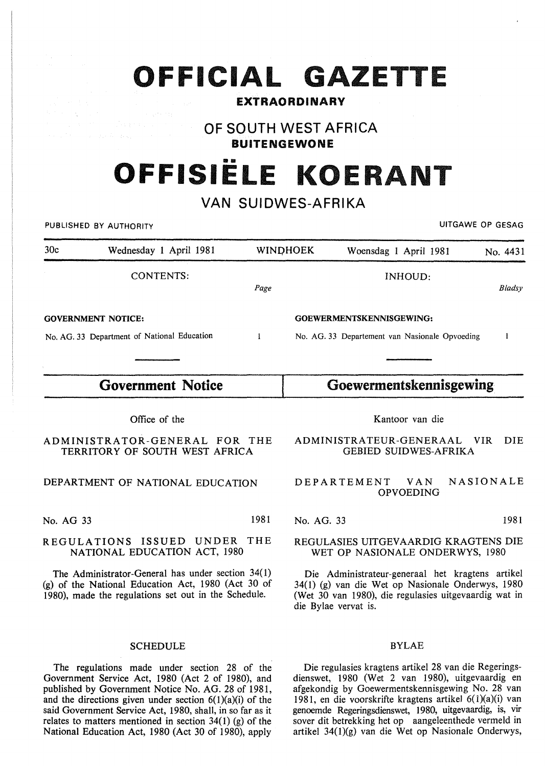|  |  |  | OFFICIAL |  | GAZETTE |  |  |  |
|--|--|--|----------|--|---------|--|--|--|
|  |  |  |          |  |         |  |  |  |

### EXTRAORDINARY

## OF SOUTH WEST AFRICA BUITENGEWONE

# OFFISIËLE KOERAN<sup>.</sup>

## VAN SUIDWES-AFRIKA

|           | PUBLISHED BY AUTHORITY                                                                                                                                          |              |            |                                                                                                                                                                |                                | UITGAWE OP GESAG |               |
|-----------|-----------------------------------------------------------------------------------------------------------------------------------------------------------------|--------------|------------|----------------------------------------------------------------------------------------------------------------------------------------------------------------|--------------------------------|------------------|---------------|
| 30c       | Wednesday 1 April 1981                                                                                                                                          |              | WINDHOEK   | Woensdag 1 April 1981                                                                                                                                          |                                |                  | No. 4431      |
|           | <b>CONTENTS:</b>                                                                                                                                                | Page         |            |                                                                                                                                                                | INHOUD:                        |                  | <b>Bladsy</b> |
|           | <b>GOVERNMENT NOTICE:</b>                                                                                                                                       |              |            | GOEWERMENTSKENNISGEWING:                                                                                                                                       |                                |                  |               |
|           | No. AG. 33 Department of National Education                                                                                                                     | $\mathbf{I}$ |            | No. AG. 33 Departement van Nasionale Opvoeding                                                                                                                 |                                |                  | 1             |
|           |                                                                                                                                                                 |              |            |                                                                                                                                                                |                                |                  |               |
|           | <b>Government Notice</b>                                                                                                                                        |              |            | Goewermentskennisgewing                                                                                                                                        |                                |                  |               |
|           | Office of the                                                                                                                                                   |              |            |                                                                                                                                                                | Kantoor van die                |                  |               |
|           | ADMINISTRATOR-GENERAL FOR THE<br>TERRITORY OF SOUTH WEST AFRICA                                                                                                 |              |            | ADMINISTRATEUR-GENERAAL<br><b>GEBIED SUIDWES-AFRIKA</b>                                                                                                        |                                | VIR              | DIE.          |
|           | DEPARTMENT OF NATIONAL EDUCATION                                                                                                                                |              |            | DEPARTEMENT                                                                                                                                                    | <b>VAN</b><br><b>OPVOEDING</b> | <b>NASIONALE</b> |               |
| No. AG 33 |                                                                                                                                                                 | 1981         | No. AG. 33 |                                                                                                                                                                |                                |                  | 1981          |
|           | REGULATIONS ISSUED UNDER THE<br>NATIONAL EDUCATION ACT, 1980                                                                                                    |              |            | REGULASIES UITGEVAARDIG KRAGTENS DIE<br>WET OP NASIONALE ONDERWYS, 1980                                                                                        |                                |                  |               |
|           | The Administrator-General has under section 34(1)<br>(g) of the National Education Act, 1980 (Act 30 of<br>1980), made the regulations set out in the Schedule. |              |            | Die Administrateur-generaal het kragtens artikel<br>34(1) (g) van die Wet op Nasionale Onderwys, 1980<br>(Wet 30 van 1980), die regulasies uitgevaardig wat in |                                |                  |               |

#### SCHEDULE

The regulations made under section 28 of the Government Service Act, 1980 (Act 2 of 1980), and published by Government Notice No. AG. 28 of 1981, and the directions given under section  $6(1)(a)(i)$  of the said Government Service Act, 1980, shall, in so far as it relates to matters mentioned in section  $34(1)$  (g) of the National Education Act, 1980 (Act 30 of 1980), apply

#### BYLAE

die Bylae vervat is.

Die regulasies kragtens artikel 28 van die Regeringsdienswet, 1980 (Wet 2 van 1980), uitgevaardig en afgekondig by Goewermentskennisgewing No. 28 van 1981, en die voorskrifte kragtens artikel 6(1)(a)(i) van genoemde Regeringsdienswet, 1980, uitgevaardig, is, vir sover dit betrekking het op aangeleenthede vermeld in artikel 34(l)(g) van die Wet op Nasionale Onderwys,